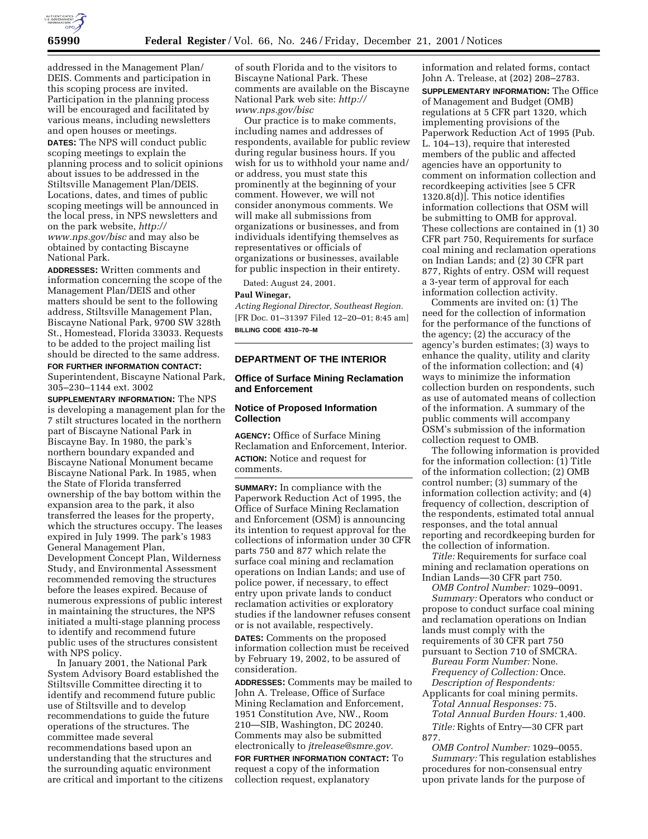

addressed in the Management Plan/ DEIS. Comments and participation in this scoping process are invited. Participation in the planning process will be encouraged and facilitated by various means, including newsletters and open houses or meetings. **DATES:** The NPS will conduct public scoping meetings to explain the planning process and to solicit opinions about issues to be addressed in the Stiltsville Management Plan/DEIS. Locations, dates, and times of public scoping meetings will be announced in the local press, in NPS newsletters and on the park website, *http:// www.nps.gov/bisc* and may also be obtained by contacting Biscayne National Park.

**ADDRESSES:** Written comments and information concerning the scope of the Management Plan/DEIS and other matters should be sent to the following address, Stiltsville Management Plan, Biscayne National Park, 9700 SW 328th St., Homestead, Florida 33033. Requests to be added to the project mailing list should be directed to the same address.

**FOR FURTHER INFORMATION CONTACT:** Superintendent, Biscayne National Park, 305–230–1144 ext. 3002

**SUPPLEMENTARY INFORMATION:** The NPS is developing a management plan for the 7 stilt structures located in the northern part of Biscayne National Park in Biscayne Bay. In 1980, the park's northern boundary expanded and Biscayne National Monument became Biscayne National Park. In 1985, when the State of Florida transferred ownership of the bay bottom within the expansion area to the park, it also transferred the leases for the property, which the structures occupy. The leases expired in July 1999. The park's 1983 General Management Plan, Development Concept Plan, Wilderness Study, and Environmental Assessment recommended removing the structures before the leases expired. Because of numerous expressions of public interest in maintaining the structures, the NPS initiated a multi-stage planning process to identify and recommend future public uses of the structures consistent with NPS policy.

In January 2001, the National Park System Advisory Board established the Stiltsville Committee directing it to identify and recommend future public use of Stiltsville and to develop recommendations to guide the future operations of the structures. The committee made several recommendations based upon an understanding that the structures and the surrounding aquatic environment are critical and important to the citizens of south Florida and to the visitors to Biscayne National Park. These comments are available on the Biscayne National Park web site: *http:// www.nps.gov/bisc*

Our practice is to make comments, including names and addresses of respondents, available for public review during regular business hours. If you wish for us to withhold your name and/ or address, you must state this prominently at the beginning of your comment. However, we will not consider anonymous comments. We will make all submissions from organizations or businesses, and from individuals identifying themselves as representatives or officials of organizations or businesses, available for public inspection in their entirety.

Dated: August 24, 2001.

## **Paul Winegar,**

*Acting Regional Director, Southeast Region.* [FR Doc. 01–31397 Filed 12–20–01; 8:45 am] **BILLING CODE 4310–70–M**

# **DEPARTMENT OF THE INTERIOR**

# **Office of Surface Mining Reclamation and Enforcement**

# **Notice of Proposed Information Collection**

**AGENCY:** Office of Surface Mining Reclamation and Enforcement, Interior. **ACTION:** Notice and request for comments.

**SUMMARY:** In compliance with the Paperwork Reduction Act of 1995, the Office of Surface Mining Reclamation and Enforcement (OSM) is announcing its intention to request approval for the collections of information under 30 CFR parts 750 and 877 which relate the surface coal mining and reclamation operations on Indian Lands; and use of police power, if necessary, to effect entry upon private lands to conduct reclamation activities or exploratory studies if the landowner refuses consent or is not available, respectively.

**DATES:** Comments on the proposed information collection must be received by February 19, 2002, to be assured of consideration.

**ADDRESSES:** Comments may be mailed to John A. Trelease, Office of Surface Mining Reclamation and Enforcement, 1951 Constitution Ave, NW., Room 210—SIB, Washington, DC 20240. Comments may also be submitted electronically to *jtrelease@smre.gov.*

**FOR FURTHER INFORMATION CONTACT:** To request a copy of the information collection request, explanatory

information and related forms, contact John A. Trelease, at (202) 208–2783. **SUPPLEMENTARY INFORMATION:** The Office of Management and Budget (OMB) regulations at 5 CFR part 1320, which implementing provisions of the Paperwork Reduction Act of 1995 (Pub. L. 104–13), require that interested members of the public and affected agencies have an opportunity to comment on information collection and recordkeeping activities [see 5 CFR 1320.8(d)]. This notice identifies information collections that OSM will be submitting to OMB for approval. These collections are contained in (1) 30 CFR part 750, Requirements for surface coal mining and reclamation operations on Indian Lands; and (2) 30 CFR part 877, Rights of entry. OSM will request a 3-year term of approval for each information collection activity.

Comments are invited on: (1) The need for the collection of information for the performance of the functions of the agency; (2) the accuracy of the agency's burden estimates; (3) ways to enhance the quality, utility and clarity of the information collection; and (4) ways to minimize the information collection burden on respondents, such as use of automated means of collection of the information. A summary of the public comments will accompany OSM's submission of the information collection request to OMB.

The following information is provided for the information collection: (1) Title of the information collection; (2) OMB control number; (3) summary of the information collection activity; and (4) frequency of collection, description of the respondents, estimated total annual responses, and the total annual reporting and recordkeeping burden for the collection of information.

*Title:* Requirements for surface coal mining and reclamation operations on Indian Lands—30 CFR part 750.

*OMB Control Number:* 1029–0091. *Summary:* Operators who conduct or propose to conduct surface coal mining and reclamation operations on Indian lands must comply with the requirements of 30 CFR part 750 pursuant to Section 710 of SMCRA.

*Bureau Form Number:* None. *Frequency of Collection:* Once. *Description of Respondents:*

Applicants for coal mining permits. *Total Annual Responses:* 75. *Total Annual Burden Hours:* 1,400. *Title:* Rights of Entry—30 CFR part 877.

*OMB Control Number:* 1029–0055. *Summary:* This regulation establishes procedures for non-consensual entry upon private lands for the purpose of